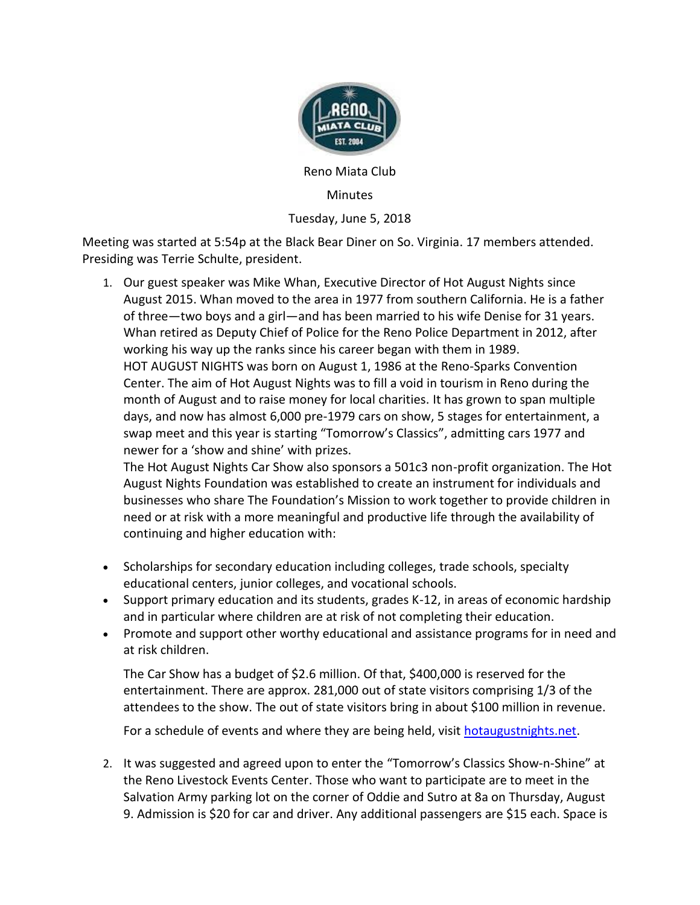

Reno Miata Club

Minutes

Tuesday, June 5, 2018

Meeting was started at 5:54p at the Black Bear Diner on So. Virginia. 17 members attended. Presiding was Terrie Schulte, president.

1. Our guest speaker was Mike Whan, Executive Director of Hot August Nights since August 2015. Whan moved to the area in 1977 from southern California. He is a father of three—two boys and a girl—and has been married to his wife Denise for 31 years. Whan retired as Deputy Chief of Police for the Reno Police Department in 2012, after working his way up the ranks since his career began with them in 1989. HOT AUGUST NIGHTS was born on August 1, 1986 at the Reno-Sparks Convention Center. The aim of Hot August Nights was to fill a void in tourism in Reno during the month of August and to raise money for local charities. It has grown to span multiple days, and now has almost 6,000 pre-1979 cars on show, 5 stages for entertainment, a swap meet and this year is starting "Tomorrow's Classics", admitting cars 1977 and newer for a 'show and shine' with prizes.

The Hot August Nights Car Show also sponsors a 501c3 non-profit organization. The Hot August Nights Foundation was established to create an instrument for individuals and businesses who share The Foundation's Mission to work together to provide children in need or at risk with a more meaningful and productive life through the availability of continuing and higher education with:

- Scholarships for secondary education including colleges, trade schools, specialty educational centers, junior colleges, and vocational schools.
- Support primary education and its students, grades K-12, in areas of economic hardship and in particular where children are at risk of not completing their education.
- Promote and support other worthy educational and assistance programs for in need and at risk children.

The Car Show has a budget of \$2.6 million. Of that, \$400,000 is reserved for the entertainment. There are approx. 281,000 out of state visitors comprising 1/3 of the attendees to the show. The out of state visitors bring in about \$100 million in revenue.

For a schedule of events and where they are being held, visit hotaugustnights.net.

2. It was suggested and agreed upon to enter the "Tomorrow's Classics Show-n-Shine" at the Reno Livestock Events Center. Those who want to participate are to meet in the Salvation Army parking lot on the corner of Oddie and Sutro at 8a on Thursday, August 9. Admission is \$20 for car and driver. Any additional passengers are \$15 each. Space is